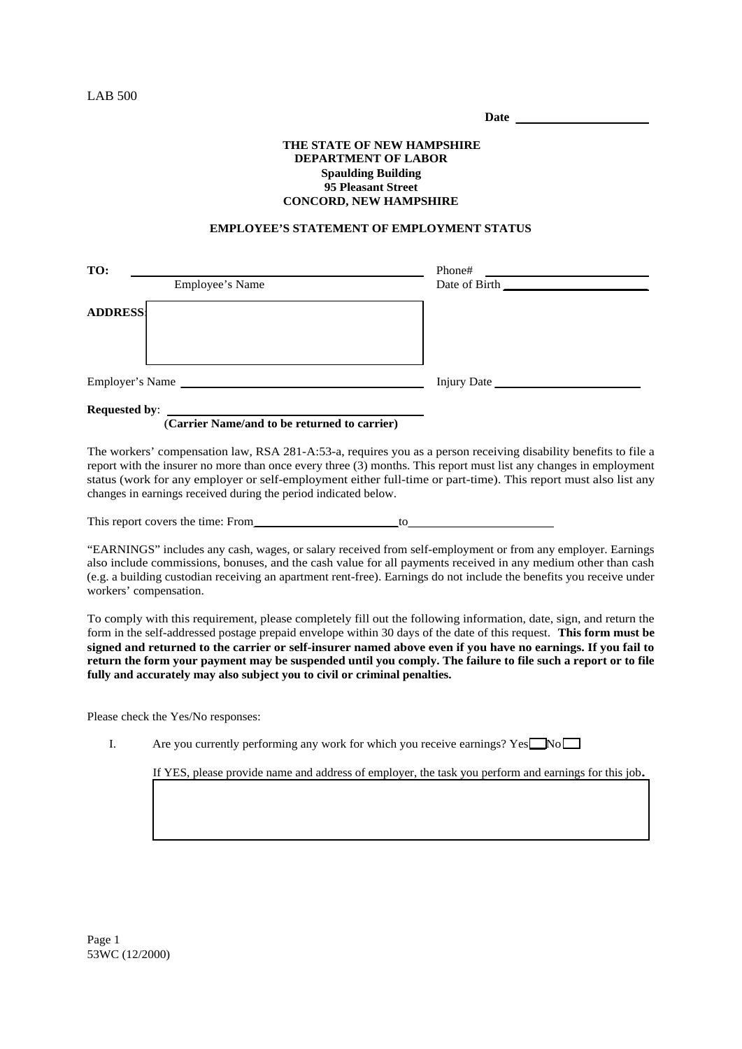| aг |  |
|----|--|

## **THE STATE OF NEW HAMPSHIRE DEPARTMENT OF LABOR Spaulding Building 95 Pleasant Street CONCORD, NEW HAMPSHIRE**

## **EMPLOYEE'S STATEMENT OF EMPLOYMENT STATUS**

| TO:                                                                  | Phone#        |
|----------------------------------------------------------------------|---------------|
| Employee's Name                                                      | Date of Birth |
| <b>ADDRESS:</b>                                                      |               |
| Employer's Name                                                      | Injury Date   |
| <b>Requested by:</b><br>(Carrier Name/and to be returned to carrier) |               |

The workers' compensation law, RSA 281-A:53-a, requires you as a person receiving disability benefits to file a report with the insurer no more than once every three (3) months. This report must list any changes in employment status (work for any employer or self-employment either full-time or part-time). This report must also list any changes in earnings received during the period indicated below.

This report covers the time: From

"EARNINGS" includes any cash, wages, or salary received from self-employment or from any employer. Earnings also include commissions, bonuses, and the cash value for all payments received in any medium other than cash (e.g. a building custodian receiving an apartment rent-free). Earnings do not include the benefits you receive under workers' compensation.

To comply with this requirement, please completely fill out the following information, date, sign, and return the form in the self-addressed postage prepaid envelope within 30 days of the date of this request. **This form must be signed and returned to the carrier or self-insurer named above even if you have no earnings. If you fail to return the form your payment may be suspended until you comply. The failure to file such a report or to file fully and accurately may also subject you to civil or criminal penalties.** 

Please check the Yes/No responses:

I. Are you currently performing any work for which you receive earnings?  $Yes \Box No \Box$ 

If YES, please provide name and address of employer, the task you perform and earnings for this job**.** 

Page 1 53WC (12/2000)